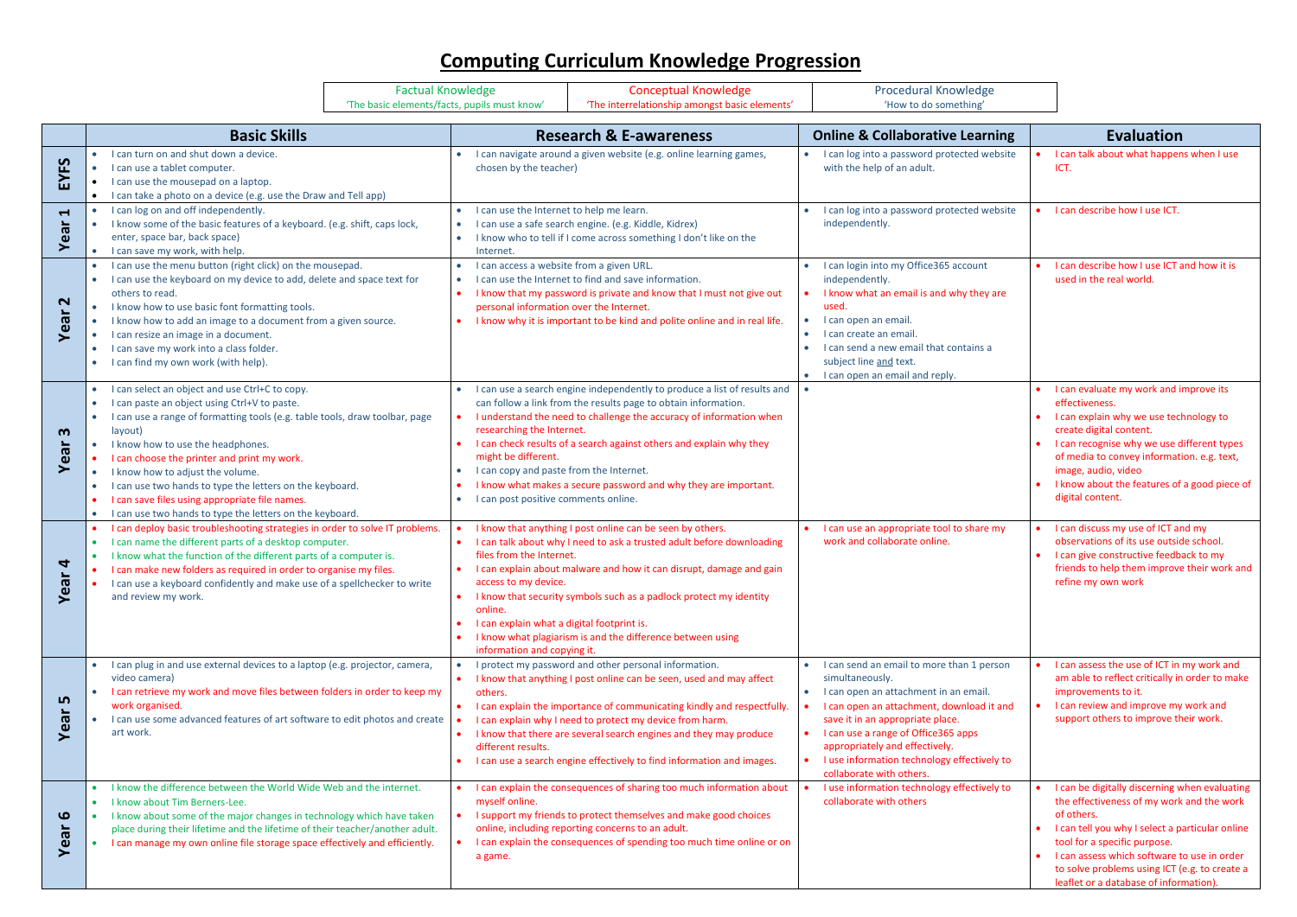## **Computing Curriculum Knowledge Progression**

|                                            |                                                                                                                                                                                                                                                                                                                                                                                                                                                                                                                                     | <b>Factual Knowledge</b> |                                                                                                                                                                                                                                                                                                  | <b>Conceptual Knowledge</b>                                                                                                                                                                                                                                                                                                                                                                                        | <b>Procedural Knowledge</b>                                                                                                                                                                                                                                                                                                                                 |                                                                                                                                                                                                                                                                                                                                       |
|--------------------------------------------|-------------------------------------------------------------------------------------------------------------------------------------------------------------------------------------------------------------------------------------------------------------------------------------------------------------------------------------------------------------------------------------------------------------------------------------------------------------------------------------------------------------------------------------|--------------------------|--------------------------------------------------------------------------------------------------------------------------------------------------------------------------------------------------------------------------------------------------------------------------------------------------|--------------------------------------------------------------------------------------------------------------------------------------------------------------------------------------------------------------------------------------------------------------------------------------------------------------------------------------------------------------------------------------------------------------------|-------------------------------------------------------------------------------------------------------------------------------------------------------------------------------------------------------------------------------------------------------------------------------------------------------------------------------------------------------------|---------------------------------------------------------------------------------------------------------------------------------------------------------------------------------------------------------------------------------------------------------------------------------------------------------------------------------------|
|                                            | 'The basic elements/facts, pupils must know'                                                                                                                                                                                                                                                                                                                                                                                                                                                                                        |                          | 'The interrelationship amongst basic elements'                                                                                                                                                                                                                                                   |                                                                                                                                                                                                                                                                                                                                                                                                                    | 'How to do something'                                                                                                                                                                                                                                                                                                                                       |                                                                                                                                                                                                                                                                                                                                       |
|                                            | <b>Basic Skills</b>                                                                                                                                                                                                                                                                                                                                                                                                                                                                                                                 |                          |                                                                                                                                                                                                                                                                                                  | <b>Research &amp; E-awareness</b>                                                                                                                                                                                                                                                                                                                                                                                  | <b>Online &amp; Collaborative Learning</b>                                                                                                                                                                                                                                                                                                                  | <b>Evaluation</b>                                                                                                                                                                                                                                                                                                                     |
| EYFS                                       | I can turn on and shut down a device.<br>I can use a tablet computer.<br>$\bullet$<br>I can use the mousepad on a laptop.<br>$\bullet$<br>I can take a photo on a device (e.g. use the Draw and Tell app)<br>$\bullet$                                                                                                                                                                                                                                                                                                              |                          | chosen by the teacher)                                                                                                                                                                                                                                                                           | I can navigate around a given website (e.g. online learning games,                                                                                                                                                                                                                                                                                                                                                 | I can log into a password protected website<br>with the help of an adult.                                                                                                                                                                                                                                                                                   | I can talk about what happens when I use<br>ICT.                                                                                                                                                                                                                                                                                      |
| $\blacktriangleleft$<br>Year               | I can log on and off independently.<br>I know some of the basic features of a keyboard. (e.g. shift, caps lock,<br>$\bullet$<br>enter, space bar, back space)<br>I can save my work, with help.<br>$\bullet$                                                                                                                                                                                                                                                                                                                        | $\bullet$<br>$\bullet$   | I can use the Internet to help me learn.<br>Internet.                                                                                                                                                                                                                                            | I can use a safe search engine. (e.g. Kiddle, Kidrex)<br>I know who to tell if I come across something I don't like on the                                                                                                                                                                                                                                                                                         | • I can log into a password protected website<br>independently.                                                                                                                                                                                                                                                                                             | • I can describe how I use ICT.                                                                                                                                                                                                                                                                                                       |
| $\mathbf{\Omega}$<br>Year                  | I can use the menu button (right click) on the mousepad.<br>I can use the keyboard on my device to add, delete and space text for<br>others to read.<br>I know how to use basic font formatting tools.<br>$\bullet$<br>I know how to add an image to a document from a given source.<br>$\bullet$<br>I can resize an image in a document.<br>$\bullet$<br>I can save my work into a class folder.<br>$\bullet$<br>• I can find my own work (with help).                                                                             |                          | I can access a website from a given URL.<br>I can use the Internet to find and save information.<br>I know that my password is private and know that I must not give out<br>personal information over the Internet.<br>I know why it is important to be kind and polite online and in real life. |                                                                                                                                                                                                                                                                                                                                                                                                                    | I can login into my Office365 account<br>independently.<br>I know what an email is and why they are<br>used.<br>I can open an email.<br>I can create an email.<br>$\bullet$<br>I can send a new email that contains a<br>$\bullet$<br>subject line and text.<br>I can open an email and reply.<br>$\bullet$                                                 | I can describe how I use ICT and how it is<br>used in the real world.                                                                                                                                                                                                                                                                 |
| $\boldsymbol{\omega}$<br>Year              | I can select an object and use Ctrl+C to copy.<br>I can paste an object using Ctrl+V to paste.<br>I can use a range of formatting tools (e.g. table tools, draw toolbar, page<br>layout)<br>• I know how to use the headphones.<br>I can choose the printer and print my work.<br>I know how to adjust the volume.<br>$\bullet$<br>I can use two hands to type the letters on the keyboard.<br>$\bullet$<br>I can save files using appropriate file names.<br>I can use two hands to type the letters on the keyboard.<br>$\bullet$ | $\bullet$<br>$\bullet$   | researching the Internet.<br>might be different.<br>I can copy and paste from the Internet.<br>I can post positive comments online.                                                                                                                                                              | I can use a search engine independently to produce a list of results and<br>can follow a link from the results page to obtain information.<br>I understand the need to challenge the accuracy of information when<br>I can check results of a search against others and explain why they<br>I know what makes a secure password and why they are important.                                                        |                                                                                                                                                                                                                                                                                                                                                             | I can evaluate my work and improve its<br>effectiveness.<br>I can explain why we use technology to<br>create digital content.<br>I can recognise why we use different types<br>of media to convey information. e.g. text,<br>image, audio, video<br>I know about the features of a good piece of<br>digital content.                  |
| $\blacktriangleleft$<br>Year               | I can deploy basic troubleshooting strategies in order to solve IT problems.<br>I can name the different parts of a desktop computer.<br>$\bullet$<br>• I know what the function of the different parts of a computer is.<br>I can make new folders as required in order to organise my files.<br>I can use a keyboard confidently and make use of a spellchecker to write<br>and review my work.                                                                                                                                   | $\bullet$<br>online.     | files from the Internet.<br>access to my device.<br>I can explain what a digital footprint is.<br>information and copying it.                                                                                                                                                                    | I know that anything I post online can be seen by others.<br>I can talk about why I need to ask a trusted adult before downloading<br>• I can explain about malware and how it can disrupt, damage and gain<br>I know that security symbols such as a padlock protect my identity<br>I know what plagiarism is and the difference between using                                                                    | I can use an appropriate tool to share my<br>work and collaborate online.                                                                                                                                                                                                                                                                                   | I can discuss my use of ICT and my<br>observations of its use outside school.<br>I can give constructive feedback to my<br>friends to help them improve their work and<br>refine my own work                                                                                                                                          |
| LŊ<br>Yea                                  | I can plug in and use external devices to a laptop (e.g. projector, camera,<br>video camera)<br>I can retrieve my work and move files between folders in order to keep my<br>work organised.<br>I can use some advanced features of art software to edit photos and create<br>art work.                                                                                                                                                                                                                                             | others.                  | different results.                                                                                                                                                                                                                                                                               | I protect my password and other personal information.<br>I know that anything I post online can be seen, used and may affect<br>I can explain the importance of communicating kindly and respectfully.<br>I can explain why I need to protect my device from harm.<br>I know that there are several search engines and they may produce<br>• I can use a search engine effectively to find information and images. | • I can send an email to more than 1 person<br>simultaneously.<br>• I can open an attachment in an email.<br>I can open an attachment, download it and<br>save it in an appropriate place.<br>I can use a range of Office365 apps<br>$\bullet$<br>appropriately and effectively.<br>I use information technology effectively to<br>collaborate with others. | I can assess the use of ICT in my work and<br>am able to reflect critically in order to make<br>improvements to it.<br>• I can review and improve my work and<br>support others to improve their work.                                                                                                                                |
| $\boldsymbol{\omega}$<br>൹<br>$\mathbf{e}$ | I know the difference between the World Wide Web and the internet.<br>I know about Tim Berners-Lee.<br>I know about some of the major changes in technology which have taken<br>place during their lifetime and the lifetime of their teacher/another adult.<br>I can manage my own online file storage space effectively and efficiently.                                                                                                                                                                                          | $\bullet$                | myself online.<br>a game.                                                                                                                                                                                                                                                                        | I can explain the consequences of sharing too much information about<br>I support my friends to protect themselves and make good choices<br>online, including reporting concerns to an adult.<br>I can explain the consequences of spending too much time online or on                                                                                                                                             | I use information technology effectively to<br>collaborate with others                                                                                                                                                                                                                                                                                      | I can be digitally discerning when evaluating<br>the effectiveness of my work and the work<br>of others.<br>I can tell you why I select a particular online<br>tool for a specific purpose.<br>I can assess which software to use in order<br>to solve problems using ICT (e.g. to create a<br>leaflet or a database of information). |